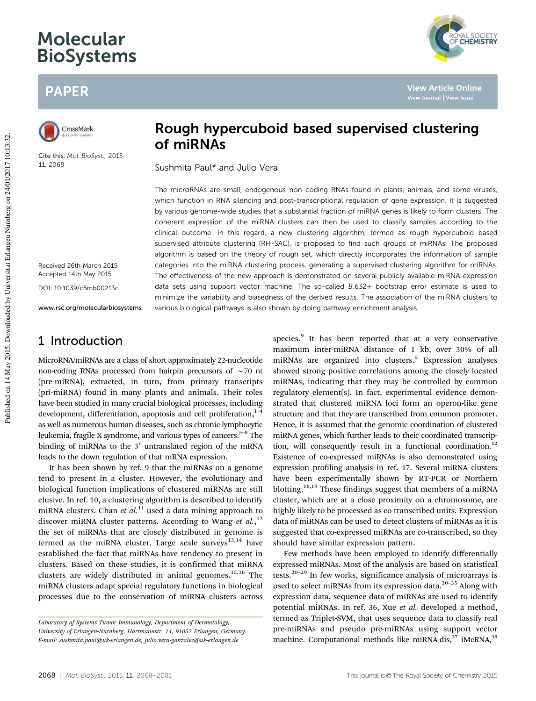# Molecular BioSystems

# PAPER



Cite this: *Mol. BioSyst.,* 2015, 11, 2068

Received 26th March 2015, Accepted 14th May 2015

DOI: 10.1039/c5mb00213c

www.rsc.org/molecularbiosystems

# 1 Introduction

MicroRNA/miRNAs are a class of short approximately 22-nucleotide non-coding RNAs processed from hairpin precursors of  $\sim$  70 nt (pre-miRNA), extracted, in turn, from primary transcripts (pri-miRNA) found in many plants and animals. Their roles have been studied in many crucial biological processes, including development, differentiation, apoptosis and cell proliferation, $1-4$ as well as numerous human diseases, such as chronic lymphocytic leukemia, fragile X syndrome, and various types of cancers.<sup>5-8</sup> The binding of miRNAs to the  $3'$  untranslated region of the mRNA leads to the down regulation of that mRNA expression.

It has been shown by ref. 9 that the miRNAs on a genome tend to present in a cluster. However, the evolutionary and biological function implications of clustered miRNAs are still elusive. In ref. 10, a clustering algorithm is described to identify miRNA clusters. Chan *et al.*<sup>11</sup> used a data mining approach to discover miRNA cluster patterns. According to Wang et al.,<sup>12</sup> the set of miRNAs that are closely distributed in genome is termed as the miRNA cluster. Large scale surveys $^{13,14}$  have established the fact that miRNAs have tendency to present in clusters. Based on these studies, it is confirmed that miRNA clusters are widely distributed in animal genomes.<sup>15,16</sup> The miRNA clusters adapt special regulatory functions in biological processes due to the conservation of miRNA clusters across



Sushmita Paul\* and Julio Vera

The microRNAs are small, endogenous non-coding RNAs found in plants, animals, and some viruses, which function in RNA silencing and post-transcriptional regulation of gene expression. It is suggested by various genome-wide studies that a substantial fraction of miRNA genes is likely to form clusters. The coherent expression of the miRNA clusters can then be used to classify samples according to the clinical outcome. In this regard, a new clustering algorithm, termed as rough hypercuboid based supervised attribute clustering (RH-SAC), is proposed to find such groups of miRNAs. The proposed algorithm is based on the theory of rough set, which directly incorporates the information of sample categories into the miRNA clustering process, generating a supervised clustering algorithm for miRNAs. The effectiveness of the new approach is demonstrated on several publicly available miRNA expression data sets using support vector machine. The so-called B.632+ bootstrap error estimate is used to minimize the variability and biasedness of the derived results. The association of the miRNA clusters to various biological pathways is also shown by doing pathway enrichment analysis.

> species.<sup>9</sup> It has been reported that at a very conservative maximum inter-miRNA distance of 1 kb, over 30% of all miRNAs are organized into clusters.<sup>9</sup> Expression analyses showed strong positive correlations among the closely located miRNAs, indicating that they may be controlled by common regulatory element(s). In fact, experimental evidence demonstrated that clustered miRNA loci form an operon-like gene structure and that they are transcribed from common promoter. Hence, it is assumed that the genomic coordination of clustered miRNA genes, which further leads to their coordinated transcription, will consequently result in a functional coordination.<sup>12</sup> Existence of co-expressed miRNAs is also demonstrated using expression profiling analysis in ref. 17. Several miRNA clusters have been experimentally shown by RT-PCR or Northern blotting.18,19 These findings suggest that members of a miRNA cluster, which are at a close proximity on a chromosome, are highly likely to be processed as co-transcribed units. Expression data of miRNAs can be used to detect clusters of miRNAs as it is suggested that co-expressed miRNAs are co-transcribed, so they should have similar expression pattern.

**View Article Online**

*MAL SOCIETY*<br>**CHEMISTRY** 

Few methods have been employed to identify differentially expressed miRNAs. Most of the analysis are based on statistical tests. $20-29$  In few works, significance analysis of microarrays is used to select miRNAs from its expression data. $30-35$  Along with expression data, sequence data of miRNAs are used to identify potential miRNAs. In ref. 36, Xue *et al.* developed a method, termed as Triplet-SVM, that uses sequence data to classify real pre-miRNAs and pseudo pre-miRNAs using support vector machine. Computational methods like miRNA-dis,<sup>37</sup> iMcRNA,<sup>38</sup>

*Laboratory of Systems Tumor Immunology, Department of Dermatology, University of Erlangen-Nu¨rnberg, Hartmannstr. 14, 91052 Erlangen, Germany. E-mail: sushmita.paul@uk-erlangen.de, julio.vera-gonzalez@uk-erlangen.de*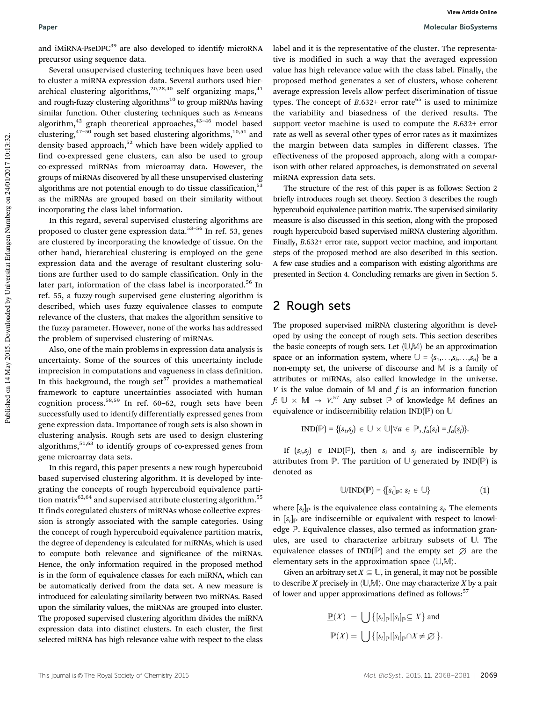and iMiRNA-PseDPC<sup>39</sup> are also developed to identify microRNA precursor using sequence data.

Several unsupervised clustering techniques have been used to cluster a miRNA expression data. Several authors used hierarchical clustering algorithms,<sup>20,28,40</sup> self organizing maps,<sup>41</sup> and rough-fuzzy clustering algorithms<sup>10</sup> to group miRNAs having similar function. Other clustering techniques such as *k*-means algorithm,<sup>42</sup> graph theoretical approaches,<sup>43-46</sup> model based clustering, $47-50$  rough set based clustering algorithms, $10,51$  and density based approach, $52$  which have been widely applied to find co-expressed gene clusters, can also be used to group co-expressed miRNAs from microarray data. However, the groups of miRNAs discovered by all these unsupervised clustering algorithms are not potential enough to do tissue classification,<sup>53</sup> as the miRNAs are grouped based on their similarity without incorporating the class label information.

In this regard, several supervised clustering algorithms are proposed to cluster gene expression data.<sup>53-56</sup> In ref. 53, genes are clustered by incorporating the knowledge of tissue. On the other hand, hierarchical clustering is employed on the gene expression data and the average of resultant clustering solutions are further used to do sample classification. Only in the later part, information of the class label is incorporated.<sup>56</sup> In ref. 55, a fuzzy-rough supervised gene clustering algorithm is described, which uses fuzzy equivalence classes to compute relevance of the clusters, that makes the algorithm sensitive to the fuzzy parameter. However, none of the works has addressed the problem of supervised clustering of miRNAs.

Also, one of the main problems in expression data analysis is uncertainty. Some of the sources of this uncertainty include imprecision in computations and vagueness in class definition. In this background, the rough set $57$  provides a mathematical framework to capture uncertainties associated with human cognition process.58,59 In ref. 60–62, rough sets have been successfully used to identify differentially expressed genes from gene expression data. Importance of rough sets is also shown in clustering analysis. Rough sets are used to design clustering algorithms,<sup>51,63</sup> to identify groups of co-expressed genes from gene microarray data sets.

In this regard, this paper presents a new rough hypercuboid based supervised clustering algorithm. It is developed by integrating the concepts of rough hypercuboid equivalence partition matrix<sup>62,64</sup> and supervised attribute clustering algorithm.<sup>55</sup> It finds coregulated clusters of miRNAs whose collective expression is strongly associated with the sample categories. Using the concept of rough hypercuboid equivalence partition matrix, the degree of dependency is calculated for miRNAs, which is used to compute both relevance and significance of the miRNAs. Hence, the only information required in the proposed method is in the form of equivalence classes for each miRNA, which can be automatically derived from the data set. A new measure is introduced for calculating similarity between two miRNAs. Based upon the similarity values, the miRNAs are grouped into cluster. The proposed supervised clustering algorithm divides the miRNA expression data into distinct clusters. In each cluster, the first selected miRNA has high relevance value with respect to the class

label and it is the representative of the cluster. The representative is modified in such a way that the averaged expression value has high relevance value with the class label. Finally, the proposed method generates a set of clusters, whose coherent average expression levels allow perfect discrimination of tissue types. The concept of  $B.632+$  error rate<sup>65</sup> is used to minimize the variability and biasedness of the derived results. The support vector machine is used to compute the *B*.632+ error rate as well as several other types of error rates as it maximizes the margin between data samples in different classes. The effectiveness of the proposed approach, along with a comparison with other related approaches, is demonstrated on several miRNA expression data sets.

The structure of the rest of this paper is as follows: Section 2 briefly introduces rough set theory. Section 3 describes the rough hypercuboid equivalence partition matrix. The supervised similarity measure is also discussed in this section, along with the proposed rough hypercuboid based supervised miRNA clustering algorithm. Finally, *B*.632+ error rate, support vector machine, and important steps of the proposed method are also described in this section. A few case studies and a comparison with existing algorithms are presented in Section 4. Concluding remarks are given in Section 5.

### 2 Rough sets

The proposed supervised miRNA clustering algorithm is developed by using the concept of rough sets. This section describes the basic concepts of rough sets. Let  $(U, M)$  be an approximation space or an information system, where  $\mathbb{U} = \{s_1, \ldots, s_i, \ldots, s_n\}$  be a non-empty set, the universe of discourse and M is a family of attributes or miRNAs, also called knowledge in the universe. *V* is the value domain of M and *f* is an information function  $f: \cup \times M \rightarrow V$ <sup>57</sup> Any subset  $P$  of knowledge M defines an equivalence or indiscernibility relation IND(P) on U

$$
IND(\mathbb{P}) = \{(s_i,s_j) \in \mathbb{U} \times \mathbb{U} | \forall a \in \mathbb{P}, f_a(s_i) = f_a(s_j)\}.
$$

If  $(s_i, s_j) \in \text{IND}(\mathbb{P})$ , then  $s_i$  and  $s_j$  are indiscernible by attributes from  $\mathbb P$ . The partition of  $\mathbb U$  generated by IND( $\mathbb P$ ) is denoted as

$$
\mathbb{U}/\text{IND}(\mathbb{P}) = \{ [s_i]_{\mathbb{P}} : s_i \in \mathbb{U} \}
$$
 (1)

where  $[s_i]_{\mathbb{P}}$  is the equivalence class containing  $s_i$ . The elements in  $[s_i]_{\mathbb{P}}$  are indiscernible or equivalent with respect to knowledge P. Equivalence classes, also termed as information granules, are used to characterize arbitrary subsets of U. The equivalence classes of IND( $\mathbb{P}$ ) and the empty set  $\varnothing$  are the elementary sets in the approximation space  $(U,M)$ .

Given an arbitrary set  $X \subseteq \mathbb{U}$ , in general, it may not be possible to describe *X* precisely in  $(U, M)$ . One may characterize *X* by a pair of lower and upper approximations defined as follows:<sup>57</sup>

$$
\underline{\mathbb{P}}(X) = \bigcup \{ [s_i]_{\mathbb{P}} | [s_i]_{\mathbb{P}} \subseteq X \} \text{ and}
$$
  

$$
\overline{\mathbb{P}}(X) = \bigcup \{ [s_i]_{\mathbb{P}} | [s_i]_{\mathbb{P}} \cap X \neq \emptyset \}.
$$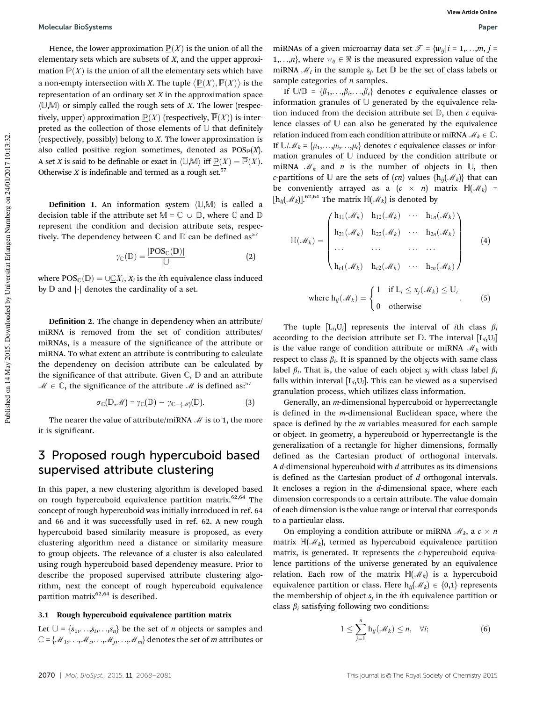Hence, the lower approximation  $\underline{P}(X)$  is the union of all the elementary sets which are subsets of *X*, and the upper approximation  $\overline{P}(X)$  is the union of all the elementary sets which have a non-empty intersection with *X*. The tuple  $\langle \underline{\mathbb{P}}(X), \overline{\mathbb{P}}(X) \rangle$  is the representation of an ordinary set *X* in the approximation space  $\langle \mathbb{U}, \mathbb{M} \rangle$  or simply called the rough sets of *X*. The lower (respectively, upper) approximation  $\underline{\mathbb{P}}(X)$  (respectively,  $\overline{\mathbb{P}}(X)$ ) is interpreted as the collection of those elements of  $U$  that definitely (respectively, possibly) belong to *X*. The lower approximation is also called positive region sometimes, denoted as  $POS_{P}(X)$ . A set *X* is said to be definable or exact in  $\langle \mathbb{U}, \mathbb{M} \rangle$  iff  $\underline{\mathbb{P}}(X) = \overline{\mathbb{P}}(X)$ . Otherwise  $X$  is indefinable and termed as a rough set.<sup>57</sup>

**Definition 1.** An information system  $\langle \mathbb{U}, \mathbb{M} \rangle$  is called a decision table if the attribute set  $M = \mathbb{C} \cup \mathbb{D}$ , where  $\mathbb{C}$  and  $\mathbb{D}$ represent the condition and decision attribute sets, respectively. The dependency between  $\mathbb C$  and  $\mathbb D$  can be defined as<sup>57</sup>

$$
\gamma_{\mathbb{C}}(\mathbb{D}) = \frac{|\text{POS}_{\mathbb{C}}(\mathbb{D})|}{|\mathbb{U}|} \tag{2}
$$

where  $\mathrm{POS}_{\mathbb{C}}(\mathbb{D}) = \cup \underline{\mathbb{C}}X_i, X_i$  is the *i*th equivalence class induced by  $\mathbb D$  and  $|\cdot|$  denotes the cardinality of a set.

Definition 2. The change in dependency when an attribute/ miRNA is removed from the set of condition attributes/ miRNAs, is a measure of the significance of the attribute or miRNA. To what extent an attribute is contributing to calculate the dependency on decision attribute can be calculated by the significance of that attribute. Given  $\mathbb{C}, \mathbb{D}$  and an attribute  $M \in \mathbb{C}$ , the significance of the attribute M is defined as:<sup>57</sup>

$$
\sigma_{\mathbb{C}}(\mathbb{D},\mathcal{M})=\gamma_{\mathbb{C}}(\mathbb{D})-\gamma_{\mathbb{C}-\{\mathcal{M}\}}(\mathbb{D}).
$$
\n(3)

The nearer the value of attribute/miRNA  $\mathcal M$  is to 1, the more it is significant.

### 3 Proposed rough hypercuboid based supervised attribute clustering

In this paper, a new clustering algorithm is developed based on rough hypercuboid equivalence partition matrix.<sup>62,64</sup> The concept of rough hypercuboid was initially introduced in ref. 64 and 66 and it was successfully used in ref. 62. A new rough hypercuboid based similarity measure is proposed, as every clustering algorithm need a distance or similarity measure to group objects. The relevance of a cluster is also calculated using rough hypercuboid based dependency measure. Prior to describe the proposed supervised attribute clustering algorithm, next the concept of rough hypercuboid equivalence partition matrix $62,64$  is described.

#### 3.1 Rough hypercuboid equivalence partition matrix

Let  $\mathbb{U} = \{s_1, \ldots, s_i, \ldots, s_n\}$  be the set of *n* objects or samples and  $\mathbb{C} = \{ \mathcal{M}_1, \ldots, \mathcal{M}_i, \ldots, \mathcal{M}_j, \ldots, \mathcal{M}_m \}$  denotes the set of *m* attributes or miRNAs of a given microarray data set  $\mathcal{T} = \{w_{ij} | i = 1, \ldots, m, j = 1\}$ 1,...,*n*}, where  $w_{ij} \in \Re$  is the measured expression value of the miRNA  $\mathcal{M}_i$  in the sample  $s_j$ . Let  $\mathbb D$  be the set of class labels or sample categories of *n* samples.

If  $\mathbb{U}/\mathbb{D} = {\beta_1, \ldots, \beta_i, \ldots, \beta_c}$  denotes *c* equivalence classes or information granules of  $\mathbb U$  generated by the equivalence relation induced from the decision attribute set D, then *c* equivalence classes of  $U$  can also be generated by the equivalence relation induced from each condition attribute or miRNA  $\mathcal{M}_k \in \mathbb{C}$ . If  $\cup/\mathcal{M}_k = {\mu_1, \ldots, \mu_i, \ldots, \mu_c}$  denotes *c* equivalence classes or information granules of U induced by the condition attribute or miRNA  $\mathcal{M}_k$  and *n* is the number of objects in  $\mathbb{U}$ , then *c*-partitions of  $\mathbb U$  are the sets of  $(cn)$  values  $\{h_{ij}(\mathcal M_k)\}\)$  that can be conveniently arrayed as a  $(c \times n)$  matrix  $\mathbb{H}(\mathcal{M}_k)$  =  $[h_{ij}(\mathcal{M}_k)]$ .<sup>62,64</sup> The matrix  $\mathbb{H}(\mathcal{M}_k)$  is denoted by

$$
\mathbb{H}(\mathcal{M}_k) = \begin{pmatrix} h_{11}(\mathcal{M}_k) & h_{12}(\mathcal{M}_k) & \cdots & h_{1n}(\mathcal{M}_k) \\ h_{21}(\mathcal{M}_k) & h_{22}(\mathcal{M}_k) & \cdots & h_{2n}(\mathcal{M}_k) \\ \cdots & \cdots & \cdots & \cdots \\ h_{c1}(\mathcal{M}_k) & h_{c2}(\mathcal{M}_k) & \cdots & h_{cn}(\mathcal{M}_k) \end{pmatrix}
$$
(4)  
where  $h_{ij}(\mathcal{M}_k) = \begin{cases} 1 & \text{if } L_i \le x_j(\mathcal{M}_k) \le U_i \\ 0 & \text{otherwise} \end{cases}$  (5)

The tuple  $[L_i, U_i]$  represents the interval of *i*th class  $\beta_i$ according to the decision attribute set  $D$ . The interval  $[L_i, U_i]$ is the value range of condition attribute or miRNA  $\mathcal{M}_k$  with respect to class  $\beta_i$ . It is spanned by the objects with same class label  $\beta_i$ . That is, the value of each object  $s_j$  with class label  $\beta_i$ falls within interval  $[L_i, U_i]$ . This can be viewed as a supervised granulation process, which utilizes class information.

Generally, an *m*-dimensional hypercuboid or hyperrectangle is defined in the *m*-dimensional Euclidean space, where the space is defined by the *m* variables measured for each sample or object. In geometry, a hypercuboid or hyperrectangle is the generalization of a rectangle for higher dimensions, formally defined as the Cartesian product of orthogonal intervals. A *d*-dimensional hypercuboid with *d* attributes as its dimensions is defined as the Cartesian product of *d* orthogonal intervals. It encloses a region in the *d*-dimensional space, where each dimension corresponds to a certain attribute. The value domain of each dimension is the value range or interval that corresponds to a particular class.

On employing a condition attribute or miRNA  $\mathcal{M}_k$ , a  $c \times n$ matrix H(M*<sup>k</sup>* ), termed as hypercuboid equivalence partition matrix, is generated. It represents the *c*-hypercuboid equivalence partitions of the universe generated by an equivalence relation. Each row of the matrix  $H(M_k)$  is a hypercuboid equivalence partition or class. Here  $h_{ij}(\mathcal{M}_k) \in \{0,1\}$  represents the membership of object *s<sup>j</sup>* in the *i*th equivalence partition or class  $\beta_i$  satisfying following two conditions:

$$
1 \leq \sum_{j=1}^{n} \mathbf{h}_{ij}(\mathcal{M}_k) \leq n, \quad \forall i; \tag{6}
$$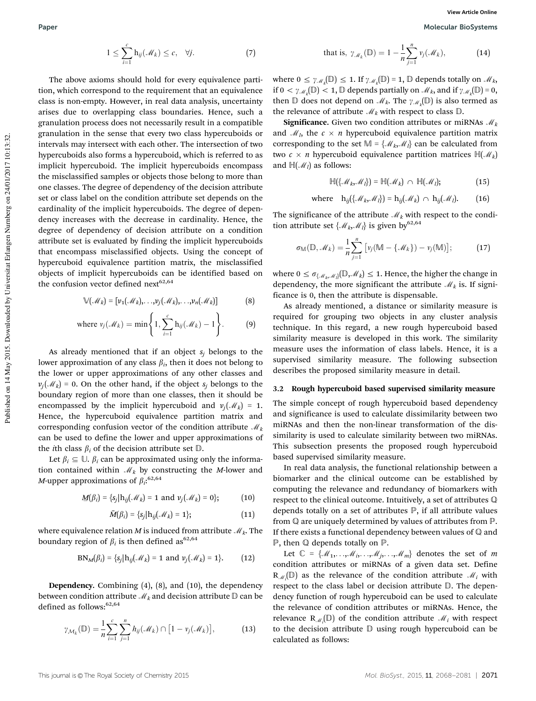The above axioms should hold for every equivalence partition, which correspond to the requirement that an equivalence class is non-empty. However, in real data analysis, uncertainty arises due to overlapping class boundaries. Hence, such a granulation process does not necessarily result in a compatible granulation in the sense that every two class hypercuboids or intervals may intersect with each other. The intersection of two hypercuboids also forms a hypercuboid, which is referred to as implicit hypercuboid. The implicit hypercuboids encompass the misclassified samples or objects those belong to more than one classes. The degree of dependency of the decision attribute set or class label on the condition attribute set depends on the cardinality of the implicit hypercuboids. The degree of dependency increases with the decrease in cardinality. Hence, the degree of dependency of decision attribute on a condition attribute set is evaluated by finding the implicit hypercuboids that encompass misclassified objects. Using the concept of hypercuboid equivalence partition matrix, the misclassified objects of implicit hypercuboids can be identified based on the confusion vector defined next<sup>62,64</sup>

$$
\mathbb{V}(\mathcal{M}_k) = [\nu_1(\mathcal{M}_k), \dots, \nu_j(\mathcal{M}_k), \dots, \nu_n(\mathcal{M}_k)]
$$
(8)

where 
$$
v_j(\mathcal{M}_k) = \min\left\{1, \sum_{i=1}^c h_{ij}(\mathcal{M}_k) - 1\right\}.
$$
 (9)

As already mentioned that if an object  $s_i$  belongs to the lower approximation of any class  $\beta_i$ , then it does not belong to the lower or upper approximations of any other classes and  $v_j(\mathcal{M}_k) = 0$ . On the other hand, if the object *s<sub>j</sub>* belongs to the boundary region of more than one classes, then it should be encompassed by the implicit hypercuboid and  $v_j(\mathcal{M}_k) = 1$ . Hence, the hypercuboid equivalence partition matrix and corresponding confusion vector of the condition attribute  $\mathcal{M}_k$ can be used to define the lower and upper approximations of the *i*th class  $\beta_i$  of the decision attribute set  $\mathbb{D}$ .

Let  $\beta_i \subseteq \mathbb{U}$ .  $\beta_i$  can be approximated using only the information contained within M*<sup>k</sup>* by constructing the *M*-lower and *M*-upper approximations of  $\beta_i$ :<sup>62,64</sup>

$$
\underline{M}(\beta_i) = \{s_j | h_{ij}(\mathcal{M}_k) = 1 \text{ and } v_j(\mathcal{M}_k) = 0\};\tag{10}
$$

$$
\bar{M}(\beta_i) = \{s_j | h_{ij}(\mathcal{M}_k) = 1\};\tag{11}
$$

where equivalence relation  $M$  is induced from attribute  $\mathcal{M}_k$ . The boundary region of  $\beta_i$  is then defined as  $62,64$ 

$$
BN_M(\beta_i) = \{s_j | h_{ij}(\mathcal{M}_k) = 1 \text{ and } v_j(\mathcal{M}_k) = 1\}.
$$
 (12)

Dependency. Combining (4), (8), and (10), the dependency between condition attribute  $\mathcal{M}_k$  and decision attribute  $\mathbb D$  can be defined as follows: $62,64$ 

$$
\gamma_{\mathcal{M}_k}(\mathbb{D}) = \frac{1}{n} \sum_{i=1}^c \sum_{j=1}^n h_{ij}(\mathcal{M}_k) \cap [1 - v_j(\mathcal{M}_k)], \qquad (13)
$$

that is, 
$$
\gamma_{\mathcal{M}_k}(\mathbb{D}) = 1 - \frac{1}{n} \sum_{j=1}^n v_j(\mathcal{M}_k)
$$
, (14)

where  $0 \leq \gamma_{\mathcal{M}_k}(\mathbb{D}) \leq 1$ . If  $\gamma_{\mathcal{M}_k}(\mathbb{D}) = 1$ ,  $\mathbb D$  depends totally on  $\mathcal{M}_k$ , if  $0 < \gamma_{\mathcal{M}_k}(\mathbb{D}) < 1$ ,  $\mathbb D$  depends partially on  $\mathcal{M}_k$ , and if  $\gamma_{\mathcal{M}_k}(\mathbb{D}) = 0$ , then  $\mathbb D$  does not depend on  $\mathcal M_k$ . The  $\gamma_{\mathcal M_k}(\mathbb D)$  is also termed as the relevance of attribute  $\mathcal{M}_k$  with respect to class  $\mathbb D$ .

Significance. Given two condition attributes or miRNAs M*<sup>k</sup>* and  $\mathcal{M}_l$ , the  $c \times n$  hypercuboid equivalence partition matrix corresponding to the set  $M = \{M_k, M_l\}$  can be calculated from two  $c \times n$  hypercuboid equivalence partition matrices  $H(M_k)$ and  $\mathbb{H}(\mathcal{M}_l)$  as follows:

$$
\mathbb{H}(\{\mathcal{M}_k,\mathcal{M}_l\})=\mathbb{H}(\mathcal{M}_k)\ \cap\ \mathbb{H}(\mathcal{M}_l); \qquad (15)
$$

where 
$$
h_{ij}(\{\mathcal{M}_k, \mathcal{M}_l\}) = h_{ij}(\mathcal{M}_k) \cap h_{ij}(\mathcal{M}_l).
$$
 (16)

The significance of the attribute  $\mathcal{M}_k$  with respect to the condition attribute set  $\{M_k, M_l\}$  is given by <sup>62,64</sup>

$$
\sigma_{\mathbb{M}}(\mathbb{D},\mathscr{M}_k)=\frac{1}{n}\sum_{j=1}^n\big[v_j(\mathbb{M}-\{\mathscr{M}_k\})-v_j(\mathbb{M})\big];\tag{17}
$$

where  $0 \leq \sigma_{\text{max}}(\mathbb{D}, \mathcal{M}_k) \leq 1$ . Hence, the higher the change in dependency, the more significant the attribute  $\mathcal{M}_k$  is. If significance is 0, then the attribute is dispensable.

As already mentioned, a distance or similarity measure is required for grouping two objects in any cluster analysis technique. In this regard, a new rough hypercuboid based similarity measure is developed in this work. The similarity measure uses the information of class labels. Hence, it is a supervised similarity measure. The following subsection describes the proposed similarity measure in detail.

#### 3.2 Rough hypercuboid based supervised similarity measure

The simple concept of rough hypercuboid based dependency and significance is used to calculate dissimilarity between two miRNAs and then the non-linear transformation of the dissimilarity is used to calculate similarity between two miRNAs. This subsection presents the proposed rough hypercuboid based supervised similarity measure.

In real data analysis, the functional relationship between a biomarker and the clinical outcome can be established by computing the relevance and redundancy of biomarkers with respect to the clinical outcome. Intuitively, a set of attributes Q depends totally on a set of attributes  $P$ , if all attribute values from Q are uniquely determined by values of attributes from P. If there exists a functional dependency between values of  $\mathbb Q$  and P, then Q depends totally on P.

Let  $\mathbb{C} = \{M_1, \ldots, M_i, \ldots, M_j, \ldots, M_m\}$  denotes the set of *m* condition attributes or miRNAs of a given data set. Define  $\mathbb{R}_{\mathcal{M}_i}(\mathbb{D})$  as the relevance of the condition attribute  $\mathcal{M}_i$  with respect to the class label or decision attribute D. The dependency function of rough hypercuboid can be used to calculate the relevance of condition attributes or miRNAs. Hence, the relevance  $\mathbb{R}_{\mathcal{M}_i}(\mathbb{D})$  of the condition attribute  $\mathcal{M}_i$  with respect to the decision attribute D using rough hypercuboid can be calculated as follows: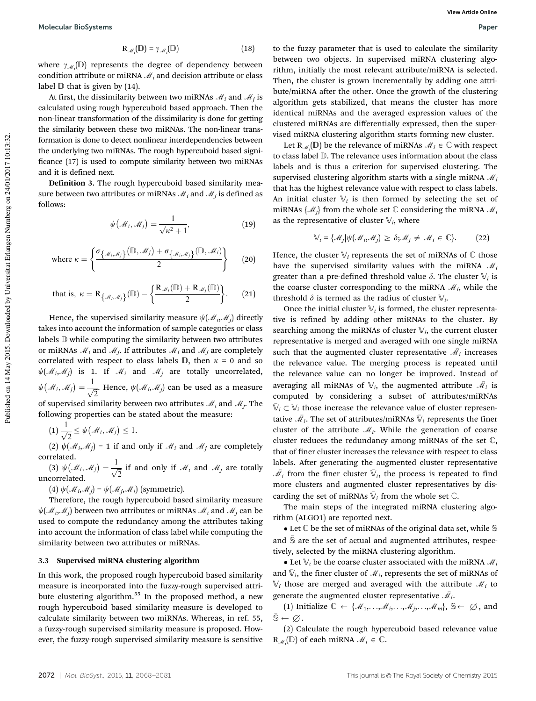$$
\mathbf{R}_{\mathcal{M}_i}(\mathbb{D}) = \gamma_{\mathcal{M}_i}(\mathbb{D}) \tag{18}
$$

where  $\gamma_{\mathcal{M}_i}(\mathbb{D})$  represents the degree of dependency between condition attribute or miRNA M*<sup>i</sup>* and decision attribute or class label  $D$  that is given by (14).

At first, the dissimilarity between two miRNAs  $\mathcal{M}_i$  and  $\mathcal{M}_j$  is calculated using rough hypercuboid based approach. Then the non-linear transformation of the dissimilarity is done for getting the similarity between these two miRNAs. The non-linear transformation is done to detect nonlinear interdependencies between the underlying two miRNAs. The rough hypercuboid based significance (17) is used to compute similarity between two miRNAs and it is defined next.

Definition 3. The rough hypercuboid based similarity measure between two attributes or miRNAs  $\mathcal{M}_i$  and  $\mathcal{M}_j$  is defined as follows:

$$
\psi(\mathcal{M}_i, \mathcal{M}_j) = \frac{1}{\sqrt{\kappa^2 + 1}},\tag{19}
$$

where 
$$
\kappa = \left\{ \frac{\sigma_{\{\mathcal{M}_i, \mathcal{M}_j\}}(\mathbb{D}, \mathcal{M}_j) + \sigma_{\{\mathcal{M}_i, \mathcal{M}_j\}}(\mathbb{D}, \mathcal{M}_i)}{2} \right\}
$$
 (20)

that is, 
$$
\kappa = \mathbb{R}_{\{\mathcal{M}_i, \mathcal{M}_j\}}(\mathbb{D}) - \left\{\frac{\mathbb{R}_{\mathcal{M}_i}(\mathbb{D}) + \mathbb{R}_{\mathcal{M}_j}(\mathbb{D})}{2}\right\}.
$$
 (21)

Hence, the supervised similarity measure  $\psi(\mathcal{M}_i, \mathcal{M}_j)$  directly takes into account the information of sample categories or class labels D while computing the similarity between two attributes or miRNAs  $\mathcal{M}_i$  and  $\mathcal{M}_j$ . If attributes  $\mathcal{M}_i$  and  $\mathcal{M}_j$  are completely correlated with respect to class labels  $\mathbb{D}$ , then  $\kappa = 0$  and so  $\psi(\mathcal{M}_i, \mathcal{M}_j)$  is 1. If  $\mathcal{M}_i$  and  $\mathcal{M}_j$  are totally uncorrelated,  $\psi\big(\mathcal{M}_i,\mathcal{M}_j\big)=\frac{1}{\sqrt{2}}$  $\frac{1}{\sqrt{2}}$ . Hence,  $\psi(\mathcal{M}_i, \mathcal{M}_j)$  can be used as a measure of supervised similarity between two attributes  $\mathcal{M}_i$  and  $\mathcal{M}_j$ . The following properties can be stated about the measure:

 $(1) \frac{1}{\sqrt{2}} \leq \psi(\mathcal{M}_i, \mathcal{M}_j) \leq 1.$ 

(2)  $\psi(\mathcal{M}_i, \mathcal{M}_j) = 1$  if and only if  $\mathcal{M}_i$  and  $\mathcal{M}_j$  are completely correlated.

(3)  $\psi(\mathcal{M}_i, \mathcal{M}_j) = \frac{1}{\sqrt{3}}$  $\frac{1}{\sqrt{2}}$  if and only if *M<sub>i</sub>* and *M<sub>j</sub>* are totally uncorrelated.

(4)  $\psi(\mathcal{M}_i, \mathcal{M}_j) = \psi(\mathcal{M}_j, \mathcal{M}_i)$  (symmetric).

Therefore, the rough hypercuboid based similarity measure  $\psi(\mathcal{M}_i, \mathcal{M}_j)$  between two attributes or miRNAs  $\mathcal{M}_i$  and  $\mathcal{M}_j$  can be used to compute the redundancy among the attributes taking into account the information of class label while computing the similarity between two attributes or miRNAs.

#### 3.3 Supervised miRNA clustering algorithm

In this work, the proposed rough hypercuboid based similarity measure is incorporated into the fuzzy-rough supervised attribute clustering algorithm.<sup>55</sup> In the proposed method, a new rough hypercuboid based similarity measure is developed to calculate similarity between two miRNAs. Whereas, in ref. 55, a fuzzy-rough supervised similarity measure is proposed. However, the fuzzy-rough supervised similarity measure is sensitive

to the fuzzy parameter that is used to calculate the similarity between two objects. In supervised miRNA clustering algorithm, initially the most relevant attribute/miRNA is selected. Then, the cluster is grown incrementally by adding one attribute/miRNA after the other. Once the growth of the clustering algorithm gets stabilized, that means the cluster has more identical miRNAs and the averaged expression values of the clustered miRNAs are differentially expressed, then the supervised miRNA clustering algorithm starts forming new cluster.

Let  $\mathbb{R}_{\mathcal{M}_i}(\mathbb{D})$  be the relevance of miRNAs  $\mathcal{M}_i \in \mathbb{C}$  with respect to class label D. The relevance uses information about the class labels and is thus a criterion for supervised clustering. The supervised clustering algorithm starts with a single miRNA M*<sup>i</sup>* that has the highest relevance value with respect to class labels. An initial cluster  $\mathbb{V}_i$  is then formed by selecting the set of miRNAs  $\{\mathcal{M}_i\}$  from the whole set  $\mathbb C$  considering the miRNA  $\mathcal{M}_i$ as the representative of cluster  $\mathbb{V}_i$ , where

$$
\mathbb{V}_i = \{ \mathcal{M}_j | \psi(\mathcal{M}_i, \mathcal{M}_j) \ge \delta; \mathcal{M}_j \ne \mathcal{M}_i \in \mathbb{C} \}. \tag{22}
$$

Hence, the cluster  $\mathbb{V}_i$  represents the set of miRNAs of  $\mathbb C$  those have the supervised similarity values with the miRNA M*<sup>i</sup>* greater than a pre-defined threshold value  $\delta$ . The cluster  $\mathbb{V}_i$  is the coarse cluster corresponding to the miRNA  $\mathcal{M}_i$ , while the threshold  $\delta$  is termed as the radius of cluster  $\mathbb{V}_i$ .

Once the initial cluster  $\mathbb{V}_i$  is formed, the cluster representative is refined by adding other miRNAs to the cluster. By searching among the miRNAs of cluster  $\mathbb{V}_i$ , the current cluster representative is merged and averaged with one single miRNA such that the augmented cluster representative  $\bar{\mathcal{M}}_i$  increases the relevance value. The merging process is repeated until the relevance value can no longer be improved. Instead of averaging all miRNAs of  $\mathbb{V}_i$ , the augmented attribute  $\mathcal{M}_i$  is computed by considering a subset of attributes/miRNAs  $\bar{\mathbb{V}}_i \subset \mathbb{V}_i$  those increase the relevance value of cluster representative  $\bar{\mathscr{M}}_i$ . The set of attributes/miRNAs  $\bar{\mathbb{V}}_i$  represents the finer cluster of the attribute  $\mathcal{M}_i$ . While the generation of coarse cluster reduces the redundancy among miRNAs of the set C, that of finer cluster increases the relevance with respect to class labels. After generating the augmented cluster representative  $\bar{\mathcal{M}}_i$  from the finer cluster  $\bar{\mathbb{V}}_i$ , the process is repeated to find more clusters and augmented cluster representatives by discarding the set of miRNAs  $\bar{\mathbb{V}}_i$  from the whole set  $\mathbb{C}$ .

The main steps of the integrated miRNA clustering algorithm (ALGO1) are reported next.

 $\bullet$  Let  $\mathbb C$  be the set of miRNAs of the original data set, while  $\mathbb S$ and  $\bar{\mathbb{S}}$  are the set of actual and augmented attributes, respectively, selected by the miRNA clustering algorithm.

• Let  $\mathbb{V}_i$  be the coarse cluster associated with the miRNA  $\mathcal{M}_i$ and  $\bar{\mathbb{V}}_i$ , the finer cluster of  $\mathcal{M}_i$ , represents the set of miRNAs of  $\mathbb{V}_i$  those are merged and averaged with the attribute  $\mathcal{M}_i$  to generate the augmented cluster representative  $\bar{\mathscr{M}}_i$ .

(1) Initialize  $\mathbb{C} \leftarrow \{\mathcal{M}_1, \ldots, \mathcal{M}_i, \ldots, \mathcal{M}_j, \ldots, \mathcal{M}_m\}, \mathbb{S} \leftarrow \emptyset$ , and  $\bar{\mathbb{S}} \leftarrow \varnothing.$ 

(2) Calculate the rough hypercuboid based relevance value  $\mathbf{R}_{\mathcal{M}_i}(\mathbb{D})$  of each miRNA  $\mathcal{M}_i \in \mathbb{C}$ .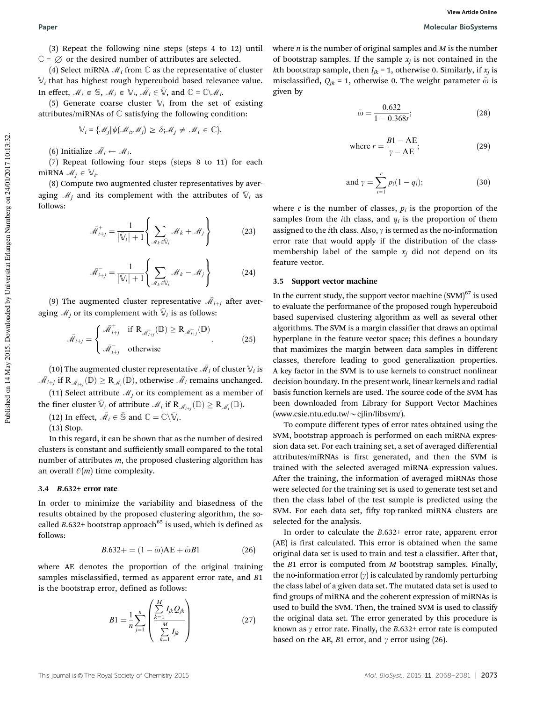(3) Repeat the following nine steps (steps 4 to 12) until  $\mathbb{C} = \emptyset$  or the desired number of attributes are selected.

(4) Select miRNA  $\mathcal{M}_i$  from  $\mathbb C$  as the representative of cluster  $\mathbb{V}_i$  that has highest rough hypercuboid based relevance value. In effect,  $\mathcal{M}_i \in \mathbb{S}$ ,  $\mathcal{M}_i \in \mathbb{V}_i$ ,  $\overline{\mathcal{M}}_i \in \overline{\mathbb{V}}$ , and  $\mathbb{C} = \mathbb{C} \setminus \mathcal{M}_i$ .

(5) Generate coarse cluster  $\mathbb{V}_i$  from the set of existing attributes/miRNAs of C satisfying the following condition:

$$
\mathbb{V}_i = \{ \mathcal{M}_j | \psi(\mathcal{M}_i, \mathcal{M}_j) \ge \delta; \mathcal{M}_j \ne \mathcal{M}_i \in \mathbb{C} \}.
$$

(6) Initialize  $\bar{\mathcal{M}}_i \leftarrow \mathcal{M}_i$ .

(7) Repeat following four steps (steps 8 to 11) for each miRNA  $\mathcal{M}_j \in \mathbb{V}_i$ .

(8) Compute two augmented cluster representatives by averaging  $\mathcal{M}_j$  and its complement with the attributes of  $\bar{\mathbb{V}}_i$  as follows:

$$
\bar{\mathcal{M}}_{i+j}^+ = \frac{1}{|\bar{\mathbb{V}}_i| + 1} \left\{ \sum_{\mathcal{M}_k \in \bar{\mathbb{V}}_i} \mathcal{M}_k + \mathcal{M}_j \right\}
$$
(23)

$$
\bar{\mathcal{M}}_{i+j} = \frac{1}{\left|\bar{\mathbb{V}}_i\right| + 1} \left\{ \sum_{\mathcal{M}_k \in \bar{\mathbb{V}}_i} \mathcal{M}_k - \mathcal{M}_j \right\} \tag{24}
$$

(9) The augmented cluster representative  $\bar{\mathcal{M}}_{i+j}$  after averaging  $\mathcal{M}_j$  or its complement with  $\bar{\mathbb{V}}_i$  is as follows:

$$
\bar{\mathcal{M}}_{i+j} = \begin{cases}\n\bar{\mathcal{M}}_{i+j}^+ & \text{if } \mathbf{R}_{\bar{\mathcal{M}}_{i+j}^+}(\mathbb{D}) \ge \mathbf{R}_{\bar{\mathcal{M}}_{i+j}^-}(\mathbb{D}) \\
\bar{\mathcal{M}}_{i+j}^- & \text{otherwise}\n\end{cases}
$$
\n(25)

(10) The augmented cluster representative  $\bar{\mathscr{M}}_i$  of cluster  $\mathbb{V}_i$  is  $\bar{\mathscr{M}}_{i+j}$  if  $\mathrm{R}_{\bar{\mathscr{M}}_{i+j}}(\mathbb{D})\geq \mathrm{R}_{\bar{\mathscr{M}}_i}(\mathbb{D}),$  otherwise  $\bar{\mathscr{M}}_i$  remains unchanged. (11) Select attribute  $\mathcal{M}_j$  or its complement as a member of the finer cluster  $\bar{\mathbb{V}}_i$  of attribute  $\mathcal{M}_i$  if  $\mathbf{R}_{\bar{\mathcal{M}}_{i+j}}(\mathbb{D}) \geq \mathbf{R}_{\bar{\mathcal{M}}_i}(\mathbb{D})$ .

(12) In effect,  $\bar{\mathcal{M}}_i \in \bar{\mathbb{S}}$  and  $\mathbb{C} = \mathbb{C} \backslash \bar{\mathbb{V}}_i$ .

(13) Stop.

In this regard, it can be shown that as the number of desired clusters is constant and sufficiently small compared to the total number of attributes *m*, the proposed clustering algorithm has an overall  $\mathcal{O}(m)$  time complexity.

#### 3.4 B.632+ error rate

In order to minimize the variability and biasedness of the results obtained by the proposed clustering algorithm, the socalled  $B.632+$  bootstrap approach<sup>65</sup> is used, which is defined as follows:

$$
B.632+ = (1 - \tilde{\omega})AE + \tilde{\omega}B1
$$
 (26)

where AE denotes the proportion of the original training samples misclassified, termed as apparent error rate, and *B*1 is the bootstrap error, defined as follows:

$$
B1 = \frac{1}{n} \sum_{j=1}^{n} \left( \frac{\sum_{k=1}^{M} I_{jk} Q_{jk}}{\sum_{k=1}^{M} I_{jk}} \right) \tag{27}
$$

where *n* is the number of original samples and *M* is the number of bootstrap samples. If the sample  $x_j$  is not contained in the *k*th bootstrap sample, then  $I_{jk}$  = 1, otherwise 0. Similarly, if  $x_j$  is misclassified,  $Q_{jk} = 1$ , otherwise 0. The weight parameter  $\tilde{\omega}$  is given by

$$
\tilde{\omega} = \frac{0.632}{1 - 0.368r};
$$
\n(28)

where 
$$
r = \frac{B1 - AE}{\gamma - AE}
$$
; (29)

and 
$$
\gamma = \sum_{i=1}^{c} p_i (1 - q_i);
$$
 (30)

where  $c$  is the number of classes,  $p_i$  is the proportion of the samples from the *i*th class, and  $q_i$  is the proportion of them assigned to the *i*th class. Also,  $\gamma$  is termed as the no-information error rate that would apply if the distribution of the classmembership label of the sample  $x_i$  did not depend on its feature vector.

#### 3.5 Support vector machine

In the current study, the support vector machine  $(SVM)^{67}$  is used to evaluate the performance of the proposed rough hypercuboid based supervised clustering algorithm as well as several other algorithms. The SVM is a margin classifier that draws an optimal hyperplane in the feature vector space; this defines a boundary that maximizes the margin between data samples in different classes, therefore leading to good generalization properties. A key factor in the SVM is to use kernels to construct nonlinear decision boundary. In the present work, linear kernels and radial basis function kernels are used. The source code of the SVM has been downloaded from Library for Support Vector Machines (www.csie.ntu.edu.tw/ $\sim$ cjlin/libsvm/).

To compute different types of error rates obtained using the SVM, bootstrap approach is performed on each miRNA expression data set. For each training set, a set of averaged differential attributes/miRNAs is first generated, and then the SVM is trained with the selected averaged miRNA expression values. After the training, the information of averaged miRNAs those were selected for the training set is used to generate test set and then the class label of the test sample is predicted using the SVM. For each data set, fifty top-ranked miRNA clusters are selected for the analysis.

In order to calculate the *B*.632+ error rate, apparent error (AE) is first calculated. This error is obtained when the same original data set is used to train and test a classifier. After that, the *B*1 error is computed from *M* bootstrap samples. Finally, the no-information error  $(y)$  is calculated by randomly perturbing the class label of a given data set. The mutated data set is used to find groups of miRNA and the coherent expression of miRNAs is used to build the SVM. Then, the trained SVM is used to classify the original data set. The error generated by this procedure is known as  $\gamma$  error rate. Finally, the *B*.632+ error rate is computed based on the AE, *B*1 error, and  $\gamma$  error using (26).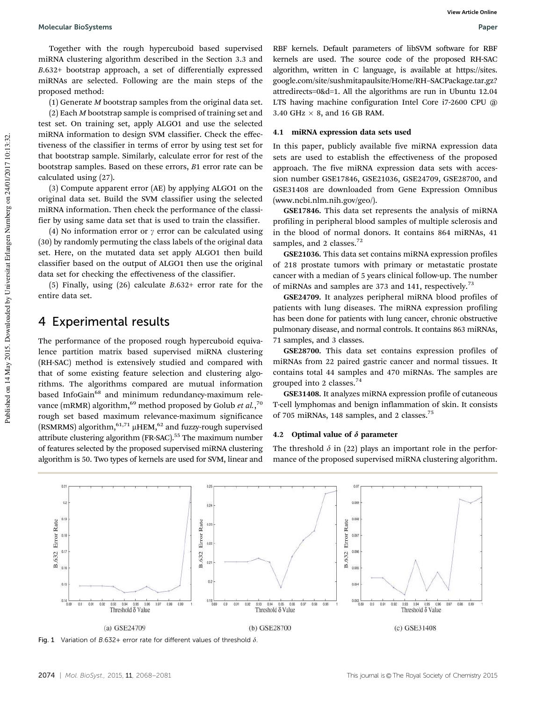Together with the rough hypercuboid based supervised miRNA clustering algorithm described in the Section 3.3 and *B*.632+ bootstrap approach, a set of differentially expressed miRNAs are selected. Following are the main steps of the proposed method:

(1) Generate *M* bootstrap samples from the original data set.

(2) Each *M* bootstrap sample is comprised of training set and test set. On training set, apply ALGO1 and use the selected miRNA information to design SVM classifier. Check the effectiveness of the classifier in terms of error by using test set for that bootstrap sample. Similarly, calculate error for rest of the bootstrap samples. Based on these errors, *B*1 error rate can be calculated using (27).

(3) Compute apparent error (AE) by applying ALGO1 on the original data set. Build the SVM classifier using the selected miRNA information. Then check the performance of the classifier by using same data set that is used to train the classifier.

(4) No information error or  $\gamma$  error can be calculated using (30) by randomly permuting the class labels of the original data set. Here, on the mutated data set apply ALGO1 then build classifier based on the output of ALGO1 then use the original data set for checking the effectiveness of the classifier.

(5) Finally, using (26) calculate *B*.632+ error rate for the entire data set.

### 4 Experimental results

The performance of the proposed rough hypercuboid equivalence partition matrix based supervised miRNA clustering (RH-SAC) method is extensively studied and compared with that of some existing feature selection and clustering algorithms. The algorithms compared are mutual information based InfoGain<sup>68</sup> and minimum redundancy-maximum relevance (mRMR) algorithm,<sup>69</sup> method proposed by Golub *et al*.,<sup>70</sup> rough set based maximum relevance-maximum significance (RSMRMS) algorithm,  $61,71$   $\mu$ HEM,  $62$  and fuzzy-rough supervised attribute clustering algorithm (FR-SAC).<sup>55</sup> The maximum number of features selected by the proposed supervised miRNA clustering algorithm is 50. Two types of kernels are used for SVM, linear and

RBF kernels. Default parameters of libSVM software for RBF kernels are used. The source code of the proposed RH-SAC algorithm, written in C language, is available at https://sites. google.com/site/sushmitapaulsite/Home/RH–SACPackage.tar.gz? attredirects=0&d=1. All the algorithms are run in Ubuntu 12.04 LTS having machine configuration Intel Core i7-2600 CPU @  $3.40$  GHz  $\times$  8, and 16 GB RAM.

#### 4.1 miRNA expression data sets used

In this paper, publicly available five miRNA expression data sets are used to establish the effectiveness of the proposed approach. The five miRNA expression data sets with accession number GSE17846, GSE21036, GSE24709, GSE28700, and GSE31408 are downloaded from Gene Expression Omnibus (www.ncbi.nlm.nih.gov/geo/).

GSE17846. This data set represents the analysis of miRNA profiling in peripheral blood samples of multiple sclerosis and in the blood of normal donors. It contains 864 miRNAs, 41 samples, and 2 classes.<sup>72</sup>

GSE21036. This data set contains miRNA expression profiles of 218 prostate tumors with primary or metastatic prostate cancer with a median of 5 years clinical follow-up. The number of miRNAs and samples are 373 and 141, respectively.<sup>73</sup>

GSE24709. It analyzes peripheral miRNA blood profiles of patients with lung diseases. The miRNA expression profiling has been done for patients with lung cancer, chronic obstructive pulmonary disease, and normal controls. It contains 863 miRNAs, 71 samples, and 3 classes.

GSE28700. This data set contains expression profiles of miRNAs from 22 paired gastric cancer and normal tissues. It contains total 44 samples and 470 miRNAs. The samples are grouped into 2 classes. $74$ 

GSE31408. It analyzes miRNA expression profile of cutaneous T-cell lymphomas and benign inflammation of skin. It consists of 705 miRNAs, 148 samples, and 2 classes.<sup>75</sup>

#### 4.2 Optimal value of  $\delta$  parameter

The threshold  $\delta$  in (22) plays an important role in the performance of the proposed supervised miRNA clustering algorithm.



Fig. 1 Variation of B.632+ error rate for different values of threshold  $\delta$ .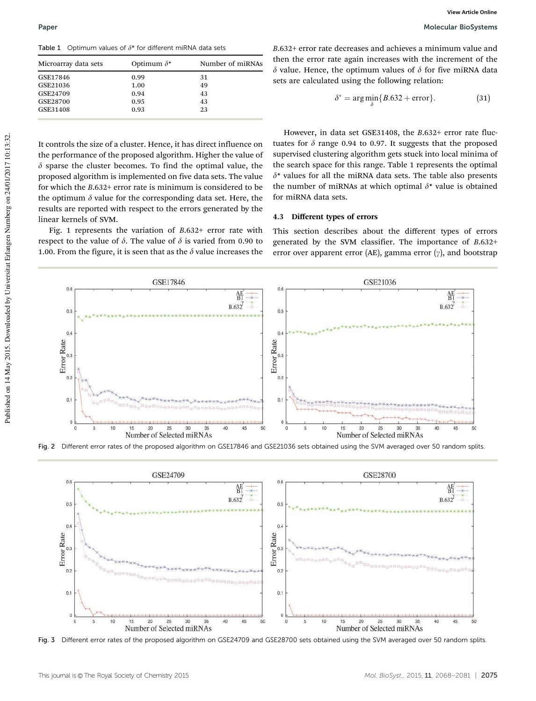Table 1 Optimum values of  $\delta^*$  for different miRNA data sets

| Microarray data sets | Optimum $\delta^*$ | Number of miRNAs |  |  |  |  |
|----------------------|--------------------|------------------|--|--|--|--|
| GSE17846             | 0.99               | 31               |  |  |  |  |
| GSE21036             | 1.00               | 49               |  |  |  |  |
| GSE24709             | 0.94               | 43               |  |  |  |  |
| GSE28700             | 0.95               | 43               |  |  |  |  |
| GSE31408             | 0.93               | 23               |  |  |  |  |

*B*.632+ error rate decreases and achieves a minimum value and then the error rate again increases with the increment of the  $\delta$  value. Hence, the optimum values of  $\delta$  for five miRNA data sets are calculated using the following relation:

$$
\delta^* = \arg\min_{\delta} \{B.632 + \text{error}\}. \tag{31}
$$

It controls the size of a cluster. Hence, it has direct influence on the performance of the proposed algorithm. Higher the value of  $\delta$  sparse the cluster becomes. To find the optimal value, the proposed algorithm is implemented on five data sets. The value for which the *B*.632+ error rate is minimum is considered to be the optimum  $\delta$  value for the corresponding data set. Here, the results are reported with respect to the errors generated by the linear kernels of SVM.

Fig. 1 represents the variation of *B*.632+ error rate with respect to the value of  $\delta$ . The value of  $\delta$  is varied from 0.90 to 1.00. From the figure, it is seen that as the  $\delta$  value increases the

However, in data set GSE31408, the *B*.632+ error rate fluctuates for  $\delta$  range 0.94 to 0.97. It suggests that the proposed supervised clustering algorithm gets stuck into local minima of the search space for this range. Table 1 represents the optimal  $\delta^*$  values for all the miRNA data sets. The table also presents the number of miRNAs at which optimal  $\delta^*$  value is obtained for miRNA data sets.

#### 4.3 Different types of errors

This section describes about the different types of errors generated by the SVM classifier. The importance of *B*.632+ error over apparent error (AE), gamma error  $(y)$ , and bootstrap



Fig. 2 Different error rates of the proposed algorithm on GSE17846 and GSE21036 sets obtained using the SVM averaged over 50 random splits.



Fig. 3 Different error rates of the proposed algorithm on GSE24709 and GSE28700 sets obtained using the SVM averaged over 50 random splits.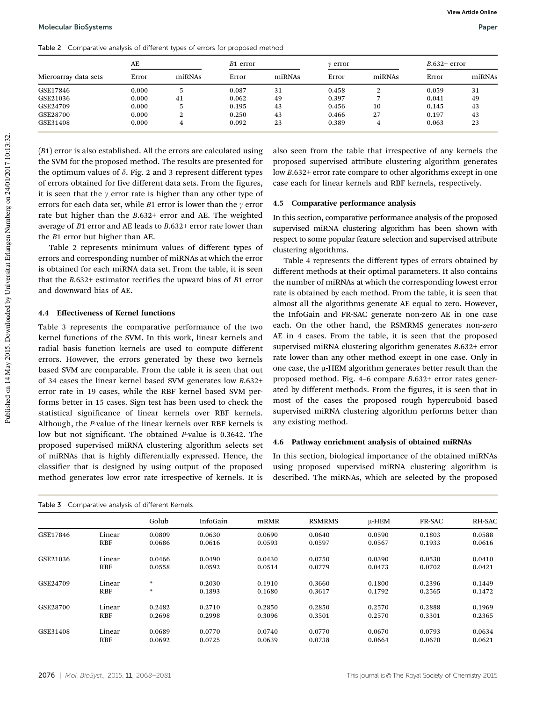Table 2 Comparative analysis of different types of errors for proposed method

| Microarray data sets | AE    |        | B1 error |        | ν error |        | $B.632+$ error |        |
|----------------------|-------|--------|----------|--------|---------|--------|----------------|--------|
|                      | Error | miRNAs | Error    | miRNAs | Error   | miRNAs | Error          | miRNAs |
| GSE17846             | 0.000 |        | 0.087    | 31     | 0.458   | റ      | 0.059          | 31     |
| GSE21036             | 0.000 | 41     | 0.062    | 49     | 0.397   |        | 0.041          | 49     |
| GSE24709             | 0.000 |        | 0.195    | 43     | 0.456   | 10     | 0.145          | 43     |
| GSE28700             | 0.000 | ∠      | 0.250    | 43     | 0.466   | 27     | 0.197          | 43     |
| GSE31408             | 0.000 |        | 0.092    | 23     | 0.389   | 4      | 0.063          | 23     |

(*B*1) error is also established. All the errors are calculated using the SVM for the proposed method. The results are presented for the optimum values of  $\delta$ . Fig. 2 and 3 represent different types of errors obtained for five different data sets. From the figures, it is seen that the  $\gamma$  error rate is higher than any other type of errors for each data set, while  $B1$  error is lower than the  $\gamma$  error rate but higher than the *B*.632+ error and AE. The weighted average of *B*1 error and AE leads to *B*.632+ error rate lower than the *B*1 error but higher than AE.

Table 2 represents minimum values of different types of errors and corresponding number of miRNAs at which the error is obtained for each miRNA data set. From the table, it is seen that the *B*.632+ estimator rectifies the upward bias of *B*1 error and downward bias of AE.

#### 4.4 Effectiveness of Kernel functions

Table 3 represents the comparative performance of the two kernel functions of the SVM. In this work, linear kernels and radial basis function kernels are used to compute different errors. However, the errors generated by these two kernels based SVM are comparable. From the table it is seen that out of 34 cases the linear kernel based SVM generates low *B*.632+ error rate in 19 cases, while the RBF kernel based SVM performs better in 15 cases. Sign test has been used to check the statistical significance of linear kernels over RBF kernels. Although, the *P*-value of the linear kernels over RBF kernels is low but not significant. The obtained *P*-value is 0.3642. The proposed supervised miRNA clustering algorithm selects set of miRNAs that is highly differentially expressed. Hence, the classifier that is designed by using output of the proposed method generates low error rate irrespective of kernels. It is

also seen from the table that irrespective of any kernels the proposed supervised attribute clustering algorithm generates low *B*.632+ error rate compare to other algorithms except in one case each for linear kernels and RBF kernels, respectively.

#### 4.5 Comparative performance analysis

In this section, comparative performance analysis of the proposed supervised miRNA clustering algorithm has been shown with respect to some popular feature selection and supervised attribute clustering algorithms.

Table 4 represents the different types of errors obtained by different methods at their optimal parameters. It also contains the number of miRNAs at which the corresponding lowest error rate is obtained by each method. From the table, it is seen that almost all the algorithms generate AE equal to zero. However, the InfoGain and FR-SAC generate non-zero AE in one case each. On the other hand, the RSMRMS generates non-zero AE in 4 cases. From the table, it is seen that the proposed supervised miRNA clustering algorithm generates *B*.632+ error rate lower than any other method except in one case. Only in one case, the µ-HEM algorithm generates better result than the proposed method. Fig. 4–6 compare *B*.632+ error rates generated by different methods. From the figures, it is seen that in most of the cases the proposed rough hypercuboid based supervised miRNA clustering algorithm performs better than any existing method.

#### 4.6 Pathway enrichment analysis of obtained miRNAs

In this section, biological importance of the obtained miRNAs using proposed supervised miRNA clustering algorithm is described. The miRNAs, which are selected by the proposed

| Table 3 Comparative analysis of different Kernels |            |        |          |        |               |            |               |        |
|---------------------------------------------------|------------|--------|----------|--------|---------------|------------|---------------|--------|
|                                                   |            | Golub  | InfoGain | mRMR   | <b>RSMRMS</b> | $\mu$ -HEM | <b>FR-SAC</b> | RH-SAC |
| GSE17846                                          | Linear     | 0.0809 | 0.0630   | 0.0690 | 0.0640        | 0.0590     | 0.1803        | 0.0588 |
|                                                   | RBF        | 0.0686 | 0.0616   | 0.0593 | 0.0597        | 0.0567     | 0.1933        | 0.0616 |
| GSE21036                                          | Linear     | 0.0466 | 0.0490   | 0.0430 | 0.0750        | 0.0390     | 0.0530        | 0.0410 |
|                                                   | <b>RBF</b> | 0.0558 | 0.0592   | 0.0514 | 0.0779        | 0.0473     | 0.0702        | 0.0421 |
| GSE24709                                          | Linear     | $\ast$ | 0.2030   | 0.1910 | 0.3660        | 0.1800     | 0.2396        | 0.1449 |
|                                                   | RBF        | $\ast$ | 0.1893   | 0.1680 | 0.3617        | 0.1792     | 0.2565        | 0.1472 |
| GSE28700                                          | Linear     | 0.2482 | 0.2710   | 0.2850 | 0.2850        | 0.2570     | 0.2888        | 0.1969 |
|                                                   | <b>RBF</b> | 0.2698 | 0.2998   | 0.3096 | 0.3501        | 0.2570     | 0.3301        | 0.2365 |
| GSE31408                                          | Linear     | 0.0689 | 0.0770   | 0.0740 | 0.0770        | 0.0670     | 0.0793        | 0.0634 |
|                                                   | <b>RBF</b> | 0.0692 | 0.0725   | 0.0639 | 0.0738        | 0.0664     | 0.0670        | 0.0621 |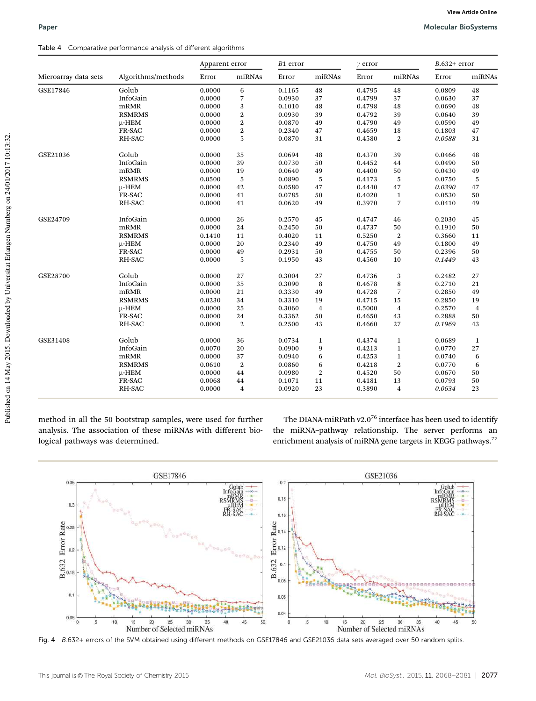#### Table 4 Comparative performance analysis of different algorithms

| Microarray data sets | Algorithms/methods | Apparent error |                | B1 error |                | $\gamma$ error |                  | $B.632+$ error |                |
|----------------------|--------------------|----------------|----------------|----------|----------------|----------------|------------------|----------------|----------------|
|                      |                    | Error          | miRNAs         | Error    | miRNAs         | Error          | miRNAs           | Error          | miRNAs         |
| GSE17846             | Golub              | 0.0000         | 6              | 0.1165   | 48             | 0.4795         | 48               | 0.0809         | 48             |
|                      | InfoGain           | 0.0000         | $\overline{7}$ | 0.0930   | 37             | 0.4799         | 37               | 0.0630         | 37             |
|                      | mRMR               | 0.0000         | $\sqrt{3}$     | 0.1010   | 48             | 0.4798         | 48               | 0.0690         | 48             |
|                      | <b>RSMRMS</b>      | 0.0000         | $\overline{2}$ | 0.0930   | 39             | 0.4792         | 39               | 0.0640         | 39             |
|                      | μ-ΗΕΜ              | 0.0000         | $\overline{2}$ | 0.0870   | 49             | 0.4790         | 49               | 0.0590         | 49             |
|                      | FR-SAC             | 0.0000         | $\overline{2}$ | 0.2340   | 47             | 0.4659         | 18               | 0.1803         | 47             |
|                      | RH-SAC             | 0.0000         | 5              | 0.0870   | 31             | 0.4580         | $\overline{2}$   | 0.0588         | 31             |
| GSE21036             | Golub              | 0.0000         | 35             | 0.0694   | 48             | 0.4370         | 39               | 0.0466         | 48             |
|                      | InfoGain           | 0.0000         | 39             | 0.0730   | 50             | 0.4452         | 44               | 0.0490         | 50             |
|                      | mRMR               | 0.0000         | 19             | 0.0640   | 49             | 0.4400         | 50               | 0.0430         | 49             |
|                      | <b>RSMRMS</b>      | 0.0500         | $\sqrt{5}$     | 0.0890   | 5              | 0.4173         | 5                | 0.0750         | $\sqrt{5}$     |
|                      | μ-ΗΕΜ              | 0.0000         | 42             | 0.0580   | 47             | 0.4440         | 47               | 0.0390         | 47             |
|                      | FR-SAC             | 0.0000         | 41             | 0.0785   | 50             | 0.4020         | $\mathbf 1$      | 0.0530         | 50             |
|                      | RH-SAC             | 0.0000         | 41             | 0.0620   | 49             | 0.3970         | 7                | 0.0410         | 49             |
| GSE24709             | InfoGain           | 0.0000         | 26             | 0.2570   | 45             | 0.4747         | 46               | 0.2030         | 45             |
|                      | mRMR               | 0.0000         | 24             | 0.2450   | 50             | 0.4737         | 50               | 0.1910         | 50             |
|                      | <b>RSMRMS</b>      | 0.1410         | 11             | 0.4020   | 11             | 0.5250         | $\boldsymbol{2}$ | 0.3660         | 11             |
|                      | μ-ΗΕΜ              | 0.0000         | 20             | 0.2340   | 49             | 0.4750         | 49               | 0.1800         | 49             |
|                      | FR-SAC             | 0.0000         | 49             | 0.2931   | 50             | 0.4755         | 50               | 0.2396         | 50             |
|                      | RH-SAC             | 0.0000         | 5              | 0.1950   | 43             | 0.4560         | 10               | 0.1449         | 43             |
| GSE28700             | Golub              | 0.0000         | 27             | 0.3004   | 27             | 0.4736         | 3                | 0.2482         | 27             |
|                      | InfoGain           | 0.0000         | 35             | 0.3090   | 8              | 0.4678         | $\,$ 8 $\,$      | 0.2710         | 21             |
|                      | mRMR               | 0.0000         | 21             | 0.3330   | 49             | 0.4728         | 7                | 0.2850         | 49             |
|                      | <b>RSMRMS</b>      | 0.0230         | 34             | 0.3310   | 19             | 0.4715         | 15               | 0.2850         | 19             |
|                      | μ-ΗΕΜ              | 0.0000         | 25             | 0.3060   | $\overline{4}$ | 0.5000         | $\bf{4}$         | 0.2570         | $\overline{4}$ |
|                      | FR-SAC             | 0.0000         | 24             | 0.3362   | 50             | 0.4650         | 43               | 0.2888         | 50             |
|                      | RH-SAC             | 0.0000         | $\overline{2}$ | 0.2500   | 43             | 0.4660         | 27               | 0.1969         | 43             |
| GSE31408             | Golub              | 0.0000         | 36             | 0.0734   | $\mathbf{1}$   | 0.4374         | $\mathbf{1}$     | 0.0689         | $\mathbf 1$    |
|                      | InfoGain           | 0.0070         | 20             | 0.0900   | 9              | 0.4213         | $\mathbf{1}$     | 0.0770         | 27             |
|                      | mRMR               | 0.0000         | 37             | 0.0940   | 6              | 0.4253         | $\mathbf{1}$     | 0.0740         | 6              |
|                      | <b>RSMRMS</b>      | 0.0610         | $\overline{2}$ | 0.0860   | 6              | 0.4218         | $\boldsymbol{2}$ | 0.0770         | 6              |
|                      | μ-ΗΕΜ              | 0.0000         | 44             | 0.0980   | $\overline{2}$ | 0.4520         | 50               | 0.0670         | 50             |
|                      | FR-SAC             | 0.0068         | 44             | 0.1071   | 11             | 0.4181         | 13               | 0.0793         | 50             |
|                      | <b>RH-SAC</b>      | 0.0000         | $\overline{4}$ | 0.0920   | 23             | 0.3890         | $\overline{4}$   | 0.0634         | 23             |

method in all the 50 bootstrap samples, were used for further analysis. The association of these miRNAs with different biological pathways was determined.

The DIANA-miRPath v2.0<sup>76</sup> interface has been used to identify the miRNA–pathway relationship. The server performs an enrichment analysis of miRNA gene targets in KEGG pathways.<sup>77</sup>



Fig. 4 B.632+ errors of the SVM obtained using different methods on GSE17846 and GSE21036 data sets averaged over 50 random splits.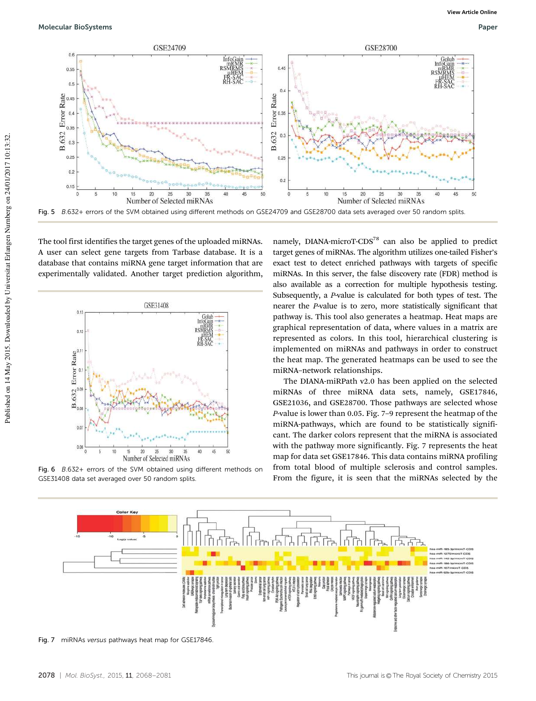

The tool first identifies the target genes of the uploaded miRNAs. A user can select gene targets from Tarbase database. It is a database that contains miRNA gene target information that are experimentally validated. Another target prediction algorithm,



Fig. 6 B.632+ errors of the SVM obtained using different methods on GSE31408 data set averaged over 50 random splits.

namely, DIANA-microT-CDS<sup>78</sup> can also be applied to predict target genes of miRNAs. The algorithm utilizes one-tailed Fisher's exact test to detect enriched pathways with targets of specific miRNAs. In this server, the false discovery rate (FDR) method is also available as a correction for multiple hypothesis testing. Subsequently, a *P*-value is calculated for both types of test. The nearer the *P*-value is to zero, more statistically significant that pathway is. This tool also generates a heatmap. Heat maps are graphical representation of data, where values in a matrix are represented as colors. In this tool, hierarchical clustering is implemented on miRNAs and pathways in order to construct the heat map. The generated heatmaps can be used to see the miRNA–network relationships.

The DIANA-miRPath v2.0 has been applied on the selected miRNAs of three miRNA data sets, namely, GSE17846, GSE21036, and GSE28700. Those pathways are selected whose *P*-value is lower than 0.05. Fig. 7–9 represent the heatmap of the miRNA-pathways, which are found to be statistically significant. The darker colors represent that the miRNA is associated with the pathway more significantly. Fig. 7 represents the heat map for data set GSE17846. This data contains miRNA profiling from total blood of multiple sclerosis and control samples. From the figure, it is seen that the miRNAs selected by the



Fig. 7 miRNAs versus pathways heat map for GSE17846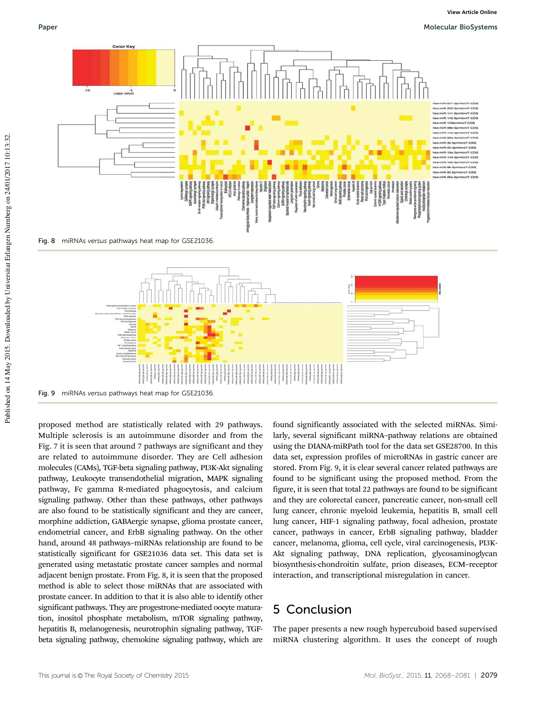#### Paper Molecular BioSystems (1999) and the state of the state of the state of the Molecular BioSystems (1999) and the state of the state of the state of the state of the state of the state of the state of the state of the s





proposed method are statistically related with 29 pathways. Multiple sclerosis is an autoimmune disorder and from the Fig. 7 it is seen that around 7 pathways are significant and they are related to autoimmune disorder. They are Cell adhesion molecules (CAMs), TGF-beta signaling pathway, PI3K-Akt signaling pathway, Leukocyte transendothelial migration, MAPK signaling pathway, Fc gamma R-mediated phagocytosis, and calcium signaling pathway. Other than these pathways, other pathways are also found to be statistically significant and they are cancer, morphine addiction, GABAergic synapse, glioma prostate cancer, endometrial cancer, and ErbB signaling pathway. On the other hand, around 48 pathways–miRNAs relationship are found to be statistically significant for GSE21036 data set. This data set is generated using metastatic prostate cancer samples and normal adjacent benign prostate. From Fig. 8, it is seen that the proposed method is able to select those miRNAs that are associated with prostate cancer. In addition to that it is also able to identify other significant pathways. They are progestrone-mediated oocyte maturation, inositol phosphate metabolism, mTOR signaling pathway, hepatitis B, melanogenesis, neurotrophin signaling pathway, TGFbeta signaling pathway, chemokine signaling pathway, which are found significantly associated with the selected miRNAs. Similarly, several significant miRNA–pathway relations are obtained using the DIANA-miRPath tool for the data set GSE28700. In this data set, expression profiles of microRNAs in gastric cancer are stored. From Fig. 9, it is clear several cancer related pathways are found to be significant using the proposed method. From the figure, it is seen that total 22 pathways are found to be significant and they are colorectal cancer, pancreatic cancer, non-small cell lung cancer, chronic myeloid leukemia, hepatitis B, small cell lung cancer, HIF-1 signaling pathway, focal adhesion, prostate cancer, pathways in cancer, ErbB signaling pathway, bladder cancer, melanoma, glioma, cell cycle, viral carcinogenesis, PI3K-Akt signaling pathway, DNA replication, glycosaminoglycan biosynthesis-chondroitin sulfate, prion diseases, ECM–receptor interaction, and transcriptional misregulation in cancer.

## 5 Conclusion

The paper presents a new rough hypercuboid based supervised miRNA clustering algorithm. It uses the concept of rough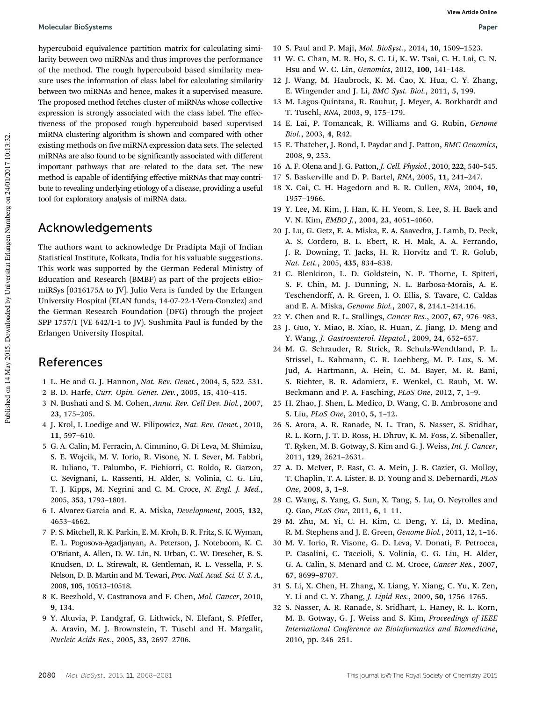hypercuboid equivalence partition matrix for calculating similarity between two miRNAs and thus improves the performance of the method. The rough hypercuboid based similarity measure uses the information of class label for calculating similarity between two miRNAs and hence, makes it a supervised measure. The proposed method fetches cluster of miRNAs whose collective expression is strongly associated with the class label. The effectiveness of the proposed rough hypercuboid based supervised miRNA clustering algorithm is shown and compared with other existing methods on five miRNA expression data sets. The selected miRNAs are also found to be significantly associated with different important pathways that are related to the data set. The new method is capable of identifying effective miRNAs that may contribute to revealing underlying etiology of a disease, providing a useful tool for exploratory analysis of miRNA data.

### Acknowledgements

The authors want to acknowledge Dr Pradipta Maji of Indian Statistical Institute, Kolkata, India for his valuable suggestions. This work was supported by the German Federal Ministry of Education and Research (BMBF) as part of the projects eBio: miRSys [0316175A to JV]. Julio Vera is funded by the Erlangen University Hospital (ELAN funds, 14-07-22-1-Vera-Gonzlez) and the German Research Foundation (DFG) through the project SPP 1757/1 (VE 642/1-1 to JV). Sushmita Paul is funded by the Erlangen University Hospital.

### References

- 1 L. He and G. J. Hannon, *Nat. Rev. Genet.*, 2004, 5, 522–531.
- 2 B. D. Harfe, *Curr. Opin. Genet. Dev.*, 2005, 15, 410–415.
- 3 N. Bushati and S. M. Cohen, *Annu. Rev. Cell Dev. Biol.*, 2007, 23, 175–205.
- 4 J. Krol, I. Loedige and W. Filipowicz, *Nat. Rev. Genet.*, 2010, 11, 597–610.
- 5 G. A. Calin, M. Ferracin, A. Cimmino, G. Di Leva, M. Shimizu, S. E. Wojcik, M. V. Iorio, R. Visone, N. I. Sever, M. Fabbri, R. Iuliano, T. Palumbo, F. Pichiorri, C. Roldo, R. Garzon, C. Sevignani, L. Rassenti, H. Alder, S. Volinia, C. G. Liu, T. J. Kipps, M. Negrini and C. M. Croce, *N. Engl. J. Med.*, 2005, 353, 1793–1801.
- 6 I. Alvarez-Garcia and E. A. Miska, *Development*, 2005, 132, 4653–4662.
- 7 P. S. Mitchell, R. K. Parkin, E. M. Kroh, B. R. Fritz, S. K. Wyman, E. L. Pogosova-Agadjanyan, A. Peterson, J. Noteboom, K. C. O'Briant, A. Allen, D. W. Lin, N. Urban, C. W. Drescher, B. S. Knudsen, D. L. Stirewalt, R. Gentleman, R. L. Vessella, P. S. Nelson, D. B. Martin and M. Tewari, *Proc. Natl. Acad. Sci. U. S. A.*, 2008, 105, 10513–10518.
- 8 K. Beezhold, V. Castranova and F. Chen, *Mol. Cancer*, 2010, 9, 134.
- 9 Y. Altuvia, P. Landgraf, G. Lithwick, N. Elefant, S. Pfeffer, A. Aravin, M. J. Brownstein, T. Tuschl and H. Margalit, *Nucleic Acids Res.*, 2005, 33, 2697–2706.
- 10 S. Paul and P. Maji, *Mol. BioSyst.*, 2014, 10, 1509–1523.
- 11 W. C. Chan, M. R. Ho, S. C. Li, K. W. Tsai, C. H. Lai, C. N. Hsu and W. C. Lin, *Genomics*, 2012, 100, 141–148.
- 12 J. Wang, M. Haubrock, K. M. Cao, X. Hua, C. Y. Zhang, E. Wingender and J. Li, *BMC Syst. Biol.*, 2011, 5, 199.
- 13 M. Lagos-Quintana, R. Rauhut, J. Meyer, A. Borkhardt and T. Tuschl, *RNA*, 2003, 9, 175–179.
- 14 E. Lai, P. Tomancak, R. Williams and G. Rubin, *Genome Biol.*, 2003, 4, R42.
- 15 E. Thatcher, J. Bond, I. Paydar and J. Patton, *BMC Genomics*, 2008, 9, 253.
- 16 A. F. Olena and J. G. Patton, *J. Cell. Physiol.*, 2010, 222, 540–545.
- 17 S. Baskerville and D. P. Bartel, *RNA*, 2005, 11, 241–247.
- 18 X. Cai, C. H. Hagedorn and B. R. Cullen, *RNA*, 2004, 10, 1957–1966.
- 19 Y. Lee, M. Kim, J. Han, K. H. Yeom, S. Lee, S. H. Baek and V. N. Kim, *EMBO J.*, 2004, 23, 4051–4060.
- 20 J. Lu, G. Getz, E. A. Miska, E. A. Saavedra, J. Lamb, D. Peck, A. S. Cordero, B. L. Ebert, R. H. Mak, A. A. Ferrando, J. R. Downing, T. Jacks, H. R. Horvitz and T. R. Golub, *Nat. Lett.*, 2005, 435, 834–838.
- 21 C. Blenkiron, L. D. Goldstein, N. P. Thorne, I. Spiteri, S. F. Chin, M. J. Dunning, N. L. Barbosa-Morais, A. E. Teschendorff, A. R. Green, I. O. Ellis, S. Tavare, C. Caldas and E. A. Miska, *Genome Biol.*, 2007, 8, 214.1–214.16.
- 22 Y. Chen and R. L. Stallings, *Cancer Res.*, 2007, 67, 976–983.
- 23 J. Guo, Y. Miao, B. Xiao, R. Huan, Z. Jiang, D. Meng and Y. Wang, *J. Gastroenterol. Hepatol.*, 2009, 24, 652–657.
- 24 M. G. Schrauder, R. Strick, R. Schulz-Wendtland, P. L. Strissel, L. Kahmann, C. R. Loehberg, M. P. Lux, S. M. Jud, A. Hartmann, A. Hein, C. M. Bayer, M. R. Bani, S. Richter, B. R. Adamietz, E. Wenkel, C. Rauh, M. W. Beckmann and P. A. Fasching, *PLoS One*, 2012, 7, 1–9.
- 25 H. Zhao, J. Shen, L. Medico, D. Wang, C. B. Ambrosone and S. Liu, *PLoS One*, 2010, 5, 1–12.
- 26 S. Arora, A. R. Ranade, N. L. Tran, S. Nasser, S. Sridhar, R. L. Korn, J. T. D. Ross, H. Dhruv, K. M. Foss, Z. Sibenaller, T. Ryken, M. B. Gotway, S. Kim and G. J. Weiss, *Int. J. Cancer*, 2011, 129, 2621–2631.
- 27 A. D. McIver, P. East, C. A. Mein, J. B. Cazier, G. Molloy, T. Chaplin, T. A. Lister, B. D. Young and S. Debernardi, *PLoS One*, 2008, 3, 1–8.
- 28 C. Wang, S. Yang, G. Sun, X. Tang, S. Lu, O. Neyrolles and Q. Gao, *PLoS One*, 2011, 6, 1–11.
- 29 M. Zhu, M. Yi, C. H. Kim, C. Deng, Y. Li, D. Medina, R. M. Stephens and J. E. Green, *Genome Biol.*, 2011, 12, 1–16.
- 30 M. V. Iorio, R. Visone, G. D. Leva, V. Donati, F. Petrocca, P. Casalini, C. Taccioli, S. Volinia, C. G. Liu, H. Alder, G. A. Calin, S. Menard and C. M. Croce, *Cancer Res.*, 2007, 67, 8699–8707.
- 31 S. Li, X. Chen, H. Zhang, X. Liang, Y. Xiang, C. Yu, K. Zen, Y. Li and C. Y. Zhang, *J. Lipid Res.*, 2009, 50, 1756–1765.
- 32 S. Nasser, A. R. Ranade, S. Sridhart, L. Haney, R. L. Korn, M. B. Gotway, G. J. Weiss and S. Kim, *Proceedings of IEEE International Conference on Bioinformatics and Biomedicine*, 2010, pp. 246–251.